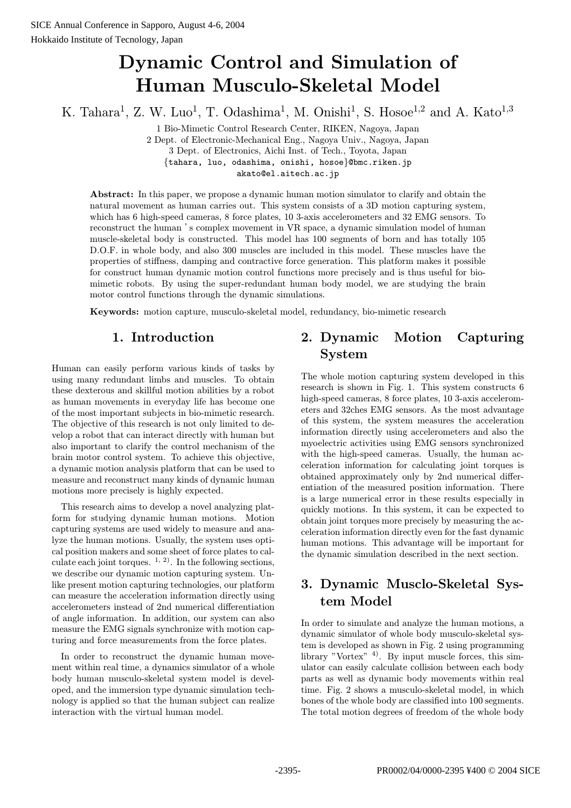# Dynamic Control and Simulation of Human Musculo-Skeletal Model

K. Tahara<sup>1</sup>, Z. W. Luo<sup>1</sup>, T. Odashima<sup>1</sup>, M. Onishi<sup>1</sup>, S. Hosoe<sup>1,2</sup> and A. Kato<sup>1,3</sup>

1 Bio-Mimetic Control Research Center, RIKEN, Nagoya, Japan 2 Dept. of Electronic-Mechanical Eng., Nagoya Univ., Nagoya, Japan 3 Dept. of Electronics, Aichi Inst. of Tech., Toyota, Japan {tahara, luo, odashima, onishi, hosoe}@bmc.riken.jp akato@el.aitech.ac.jp

Abstract: In this paper, we propose a dynamic human motion simulator to clarify and obtain the natural movement as human carries out. This system consists of a 3D motion capturing system, which has 6 high-speed cameras, 8 force plates, 10 3-axis accelerometers and 32 EMG sensors. To reconstruct the human  $\dot{\mathbf{s}}$  complex movement in VR space, a dynamic simulation model of human muscle-skeletal body is constructed. This model has 100 segments of born and has totally 105 D.O.F. in whole body, and also 300 muscles are included in this model. These muscles have the properties of stiffness, damping and contractive force generation. This platform makes it possible for construct human dynamic motion control functions more precisely and is thus useful for biomimetic robots. By using the super-redundant human body model, we are studying the brain motor control functions through the dynamic simulations.

Keywords: motion capture, musculo-skeletal model, redundancy, bio-mimetic research

### 1. Introduction

Human can easily perform various kinds of tasks by using many redundant limbs and muscles. To obtain these dexterous and skillful motion abilities by a robot as human movements in everyday life has become one of the most important subjects in bio-mimetic research. The objective of this research is not only limited to develop a robot that can interact directly with human but also important to clarify the control mechanism of the brain motor control system. To achieve this objective, a dynamic motion analysis platform that can be used to measure and reconstruct many kinds of dynamic human motions more precisely is highly expected.

This research aims to develop a novel analyzing platform for studying dynamic human motions. Motion capturing systems are used widely to measure and analyze the human motions. Usually, the system uses optical position makers and some sheet of force plates to calculate each joint torques.  $(1, 2)$ . In the following sections, we describe our dynamic motion capturing system. Unlike present motion capturing technologies, our platform can measure the acceleration information directly using accelerometers instead of 2nd numerical differentiation of angle information. In addition, our system can also measure the EMG signals synchronize with motion capturing and force measurements from the force plates.

In order to reconstruct the dynamic human movement within real time, a dynamics simulator of a whole body human musculo-skeletal system model is developed, and the immersion type dynamic simulation technology is applied so that the human subject can realize interaction with the virtual human model.

## 2. Dynamic Motion Capturing System

The whole motion capturing system developed in this research is shown in Fig. 1. This system constructs 6 high-speed cameras, 8 force plates, 10 3-axis accelerometers and 32ches EMG sensors. As the most advantage of this system, the system measures the acceleration information directly using accelerometers and also the myoelectric activities using EMG sensors synchronized with the high-speed cameras. Usually, the human acceleration information for calculating joint torques is obtained approximately only by 2nd numerical differentiation of the measured position information. There is a large numerical error in these results especially in quickly motions. In this system, it can be expected to obtain joint torques more precisely by measuring the acceleration information directly even for the fast dynamic human motions. This advantage will be important for the dynamic simulation described in the next section.

### 3. Dynamic Musclo-Skeletal System Model

In order to simulate and analyze the human motions, a dynamic simulator of whole body musculo-skeletal system is developed as shown in Fig. 2 using programming library "Vortex"  $4$ ). By input muscle forces, this simulator can easily calculate collision between each body parts as well as dynamic body movements within real time. Fig. 2 shows a musculo-skeletal model, in which bones of the whole body are classified into 100 segments. The total motion degrees of freedom of the whole body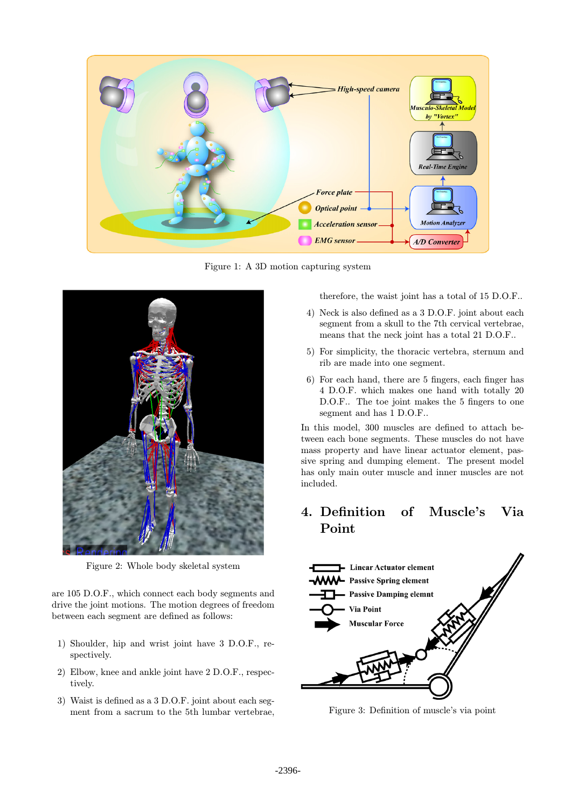

Figure 1: A 3D motion capturing system



Figure 2: Whole body skeletal system

are 105 D.O.F., which connect each body segments and drive the joint motions. The motion degrees of freedom between each segment are defined as follows:

- 1) Shoulder, hip and wrist joint have 3 D.O.F., respectively.
- 2) Elbow, knee and ankle joint have 2 D.O.F., respectively.
- 3) Waist is defined as a 3 D.O.F. joint about each segment from a sacrum to the 5th lumbar vertebrae,

therefore, the waist joint has a total of 15 D.O.F..

- 4) Neck is also defined as a 3 D.O.F. joint about each segment from a skull to the 7th cervical vertebrae, means that the neck joint has a total 21 D.O.F..
- 5) For simplicity, the thoracic vertebra, sternum and rib are made into one segment.
- 6) For each hand, there are 5 fingers, each finger has 4 D.O.F. which makes one hand with totally 20 D.O.F.. The toe joint makes the 5 fingers to one segment and has 1 D.O.F..

In this model, 300 muscles are defined to attach between each bone segments. These muscles do not have mass property and have linear actuator element, passive spring and dumping element. The present model has only main outer muscle and inner muscles are not included.

### 4. Definition of Muscle's Via Point



Figure 3: Definition of muscle's via point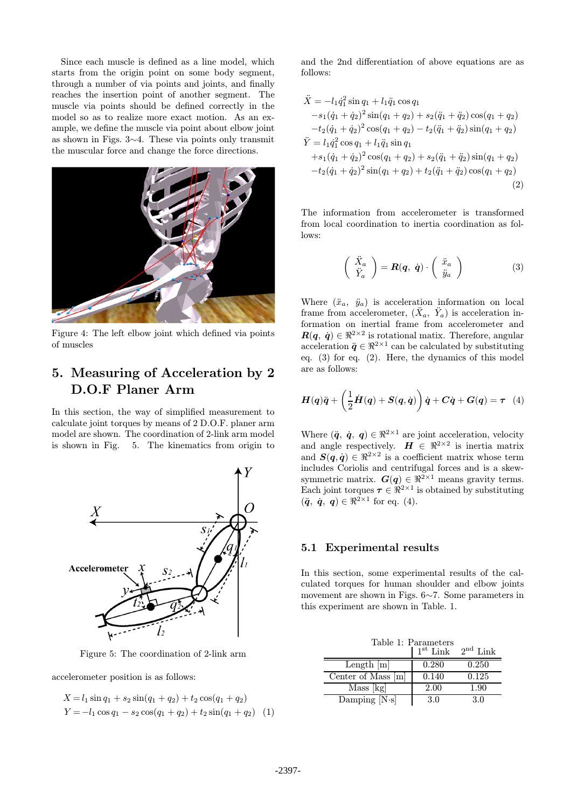Since each muscle is defined as a line model, which starts from the origin point on some body segment, through a number of via points and joints, and finally reaches the insertion point of another segment. The muscle via points should be defined correctly in the model so as to realize more exact motion. As an example, we define the muscle via point about elbow joint as shown in Figs.  $3\sim4$ . These via points only transmit the muscular force and change the force directions.



Figure 4: The left elbow joint which defined via points of muscles

### 5. Measuring of Acceleration by 2 D.O.F Planer Arm

In this section, the way of simplified measurement to calculate joint torques by means of 2 D.O.F. planer arm model are shown. The coordination of 2-link arm model is shown in Fig. 5. The kinematics from origin to



Figure 5: The coordination of 2-link arm

accelerometer position is as follows:

$$
X = l_1 \sin q_1 + s_2 \sin(q_1 + q_2) + t_2 \cos(q_1 + q_2)
$$
  
\n
$$
Y = -l_1 \cos q_1 - s_2 \cos(q_1 + q_2) + t_2 \sin(q_1 + q_2)
$$
 (1)

and the 2nd differentiation of above equations are as follows:

$$
\ddot{X} = -l_1 \dot{q}_1^2 \sin q_1 + l_1 \ddot{q}_1 \cos q_1 \n-s_1 (\dot{q}_1 + \dot{q}_2)^2 \sin (q_1 + q_2) + s_2 (\ddot{q}_1 + \ddot{q}_2) \cos (q_1 + q_2) \n-t_2 (\dot{q}_1 + \dot{q}_2)^2 \cos (q_1 + q_2) - t_2 (\ddot{q}_1 + \ddot{q}_2) \sin (q_1 + q_2) \n\ddot{Y} = l_1 \dot{q}_1^2 \cos q_1 + l_1 \ddot{q}_1 \sin q_1 \n+s_1 (\dot{q}_1 + \dot{q}_2)^2 \cos (q_1 + q_2) + s_2 (\ddot{q}_1 + \ddot{q}_2) \sin (q_1 + q_2) \n-t_2 (\dot{q}_1 + \dot{q}_2)^2 \sin (q_1 + q_2) + t_2 (\ddot{q}_1 + \ddot{q}_2) \cos (q_1 + q_2)
$$
\n(2)

The information from accelerometer is transformed from local coordination to inertia coordination as follows:

$$
\begin{pmatrix}\n\ddot{X}_a \\
\ddot{Y}_a\n\end{pmatrix} = \mathbf{R}(\mathbf{q}, \dot{\mathbf{q}}) \cdot \begin{pmatrix}\n\ddot{x}_a \\
\ddot{y}_a\n\end{pmatrix}
$$
\n(3)

Where  $(\ddot{x}_a, \ddot{y}_a)$  is acceleration information on local frame from accelerometer,  $(\ddot{X}_a, \ddot{Y}_a)$  is acceleration information on inertial frame from accelerometer and  $R(q, \dot{q}) \in \mathbb{R}^{2 \times 2}$  is rotational matix. Therefore, angular acceleration  $\ddot{q} \in \mathbb{R}^{2 \times 1}$  can be calculated by substituting eq. (3) for eq. (2). Here, the dynamics of this model are as follows:

$$
\boldsymbol{H}(\boldsymbol{q})\ddot{\boldsymbol{q}} + \left(\frac{1}{2}\dot{\boldsymbol{H}}(\boldsymbol{q}) + \boldsymbol{S}(\boldsymbol{q},\dot{\boldsymbol{q}})\right)\dot{\boldsymbol{q}} + \boldsymbol{C}\dot{\boldsymbol{q}} + \boldsymbol{G}(\boldsymbol{q}) = \boldsymbol{\tau}
$$
 (4)

Where  $(\ddot{q}, \dot{q}, q) \in \mathbb{R}^{2 \times 1}$  are joint acceleration, velocity and angle respectively.  $\mathbf{H} \in \mathbb{R}^{2 \times 2}$  is inertia matrix and  $S(q, \dot{q}) \in \mathbb{R}^{2 \times 2}$  is a coefficient matrix whose term includes Coriolis and centrifugal forces and is a skewsymmetric matrix.  $G(q) \in \mathbb{R}^{2 \times 1}$  means gravity terms. Each joint torques  $\tau \in \Re^{2 \times 1}$  is obtained by substituting  $(\ddot{\mathbf{q}}, \dot{\mathbf{q}}, \mathbf{q}) \in \mathbb{R}^{2 \times 1}$  for eq. (4).

#### 5.1 Experimental results

In this section, some experimental results of the calculated torques for human shoulder and elbow joints movement are shown in Figs.  $6 \sim 7$ . Some parameters in this experiment are shown in Table. 1.

|                      | Table 1: Parameters<br>$1st$ Link | $2nd$ Link |
|----------------------|-----------------------------------|------------|
| Length $[m]$         | 0.280                             | 0.250      |
| Center of Mass [m]   | 0.140                             | 0.125      |
| Mass [kg]            | 2.00                              | 1.90       |
| Damping $[N\cdot s]$ | 3.0                               | 3.0        |